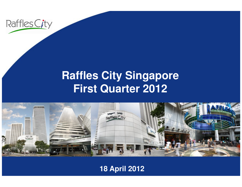

### **Raffles City SingaporeFirst Quarter 2012**



### **18 April 2012**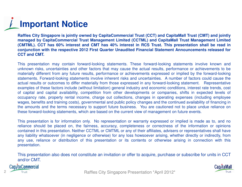# **Important Notice**

Raffles City Singapore is jointly owned by CapitaCommercial Trust (CCT) and CapitaMall Trust (CMT) and jointly managed by CapitaCommercial Trust Management Limited (CCTML) and CapitaMall Trust Management Limited (CMTML). CCT has 60% interest and CMT has 40% interest in RCS Trust. This presentation shall be read in conjunction with the respective 2012 First Quarter Unaudited Financial Statement Announcements released for **CCT and CMT.**

This presentation may contain forward-looking statements. These forward-looking statements involve known and unknown risks, uncertainties and other factors that may cause the actual results, performance or achievements to be materially different from any future results, performance or achievements expressed or implied by the forward-looking statements. Forward-looking statements involve inherent risks and uncertainties. A number of factors could cause the actual results or outcomes to differ materially from those expressed in any forward-looking statement. Representative examples of these factors include (without limitation) general industry and economic conditions, interest rate trends, cost of capital and capital availability, competition from other developments or companies, shifts in expected levels of<br>convincingly rate proporty raptal income, oberge out collections, oberges in eperating expenses (including occupancy rate, property rental income, charge out collections, changes in operating expenses (including employee wages, benefits and training costs), governmental and public policy changes and the continued availability of financing in the amounts and the terms necessary to support future business. You are cautioned not to place undue reliance onthese forward-looking statements, which are based on the current view of management on future events.

This presentation is for information only. No representation or warranty expressed or implied is made as to, and no reliance should be placed on, the fairness, accuracy, completeness or correctness of the information or opinions contained in this presentation. Neither CCTML or CMTML or any of their affiliates, advisers or representatives shall have any liability whatsoever (in negligence or otherwise) for any loss howsoever arising, whether directly or indirectly, from any use, reliance or distribution of this presentation or its contents or otherwise arising in connection with thispresentation.

This presentation also does not constitute an invitation or offer to acquire, purchase or subscribe for units in CCTand/or CMT.

**Cap/taCommercial** 



Prust Trust 2012\* 2 Trust 2012\* 2012 2012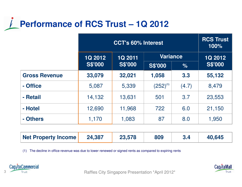### **Performance of RCS Trust – 1Q 2012**

|                      | <b>CCT's 60% Interest</b> |                                  |                 |       | <b>RCS Trust</b><br>100% |
|----------------------|---------------------------|----------------------------------|-----------------|-------|--------------------------|
|                      | 1Q 2012                   | <b>1Q 2011</b><br><b>S\$'000</b> | <b>Variance</b> |       | <b>1Q 2012</b>           |
|                      | <b>S\$'000</b>            |                                  | <b>S\$'000</b>  | $\%$  | <b>S\$'000</b>           |
| <b>Gross Revenue</b> | 33,079                    | 32,021                           | 1,058           | 3.3   | 55,132                   |
| - Office             | 5,087                     | 5,339                            | $(252)^{(1)}$   | (4.7) | 8,479                    |
| - Retail             | 14,132                    | 13,631                           | 501             | 3.7   | 23,553                   |
| - Hotel              | 12,690                    | 11,968                           | 722             | 6.0   | 21,150                   |
| - Others             | 1,170                     | 1,083                            | 87              | 8.0   | 1,950                    |

| Net Property Income | 24,387 | 23,578 | 809 |  | 40,645 |
|---------------------|--------|--------|-----|--|--------|
|---------------------|--------|--------|-----|--|--------|

(1) The decline in office revenue was due to lower renewed or signed rents as compared to expiring rents





Trust Trust **Raffles City Singapore Presentation \*April 2012**\*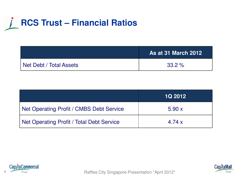### **RCS Trust – Financial Ratios**

|                         | <b>As at 31 March 2012</b> |
|-------------------------|----------------------------|
| Net Debt / Total Assets | $33.2\%$                   |

|                                           | <b>1Q 2012</b> |
|-------------------------------------------|----------------|
| Net Operating Profit / CMBS Debt Service  | 5.90x          |
| Net Operating Profit / Total Debt Service | 4.74 $\times$  |





A Trust Trust **Raffles City Singapore Presentation \*April 2012**\*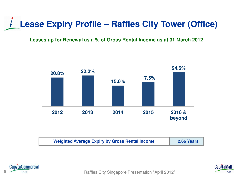## **Lease Expiry Profile – Raffles City Tower (Office)**

#### **Leases up for Renewal as a % of Gross Rental Income as at 31 March 2012**



| <b>Weighted Average Expiry by Gross Rental Income</b> | 2.66 Years |
|-------------------------------------------------------|------------|
|-------------------------------------------------------|------------|





5 Trust Trust **Raffles City Singapore Presentation \*April 2012 Raffles City Singapore Presentation \*April 2012**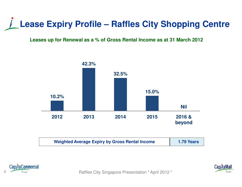### **Lease Expiry Profile – Raffles City Shopping Centre**

#### **Leases up for Renewal as a % of Gross Rental Income as at 31 March 2012**



| <b>Weighted Average Expiry by Gross Rental Income</b> | <b>1.79 Years</b> |
|-------------------------------------------------------|-------------------|
|-------------------------------------------------------|-------------------|





Raffles City Singapore Presentation \* April 2012 \*